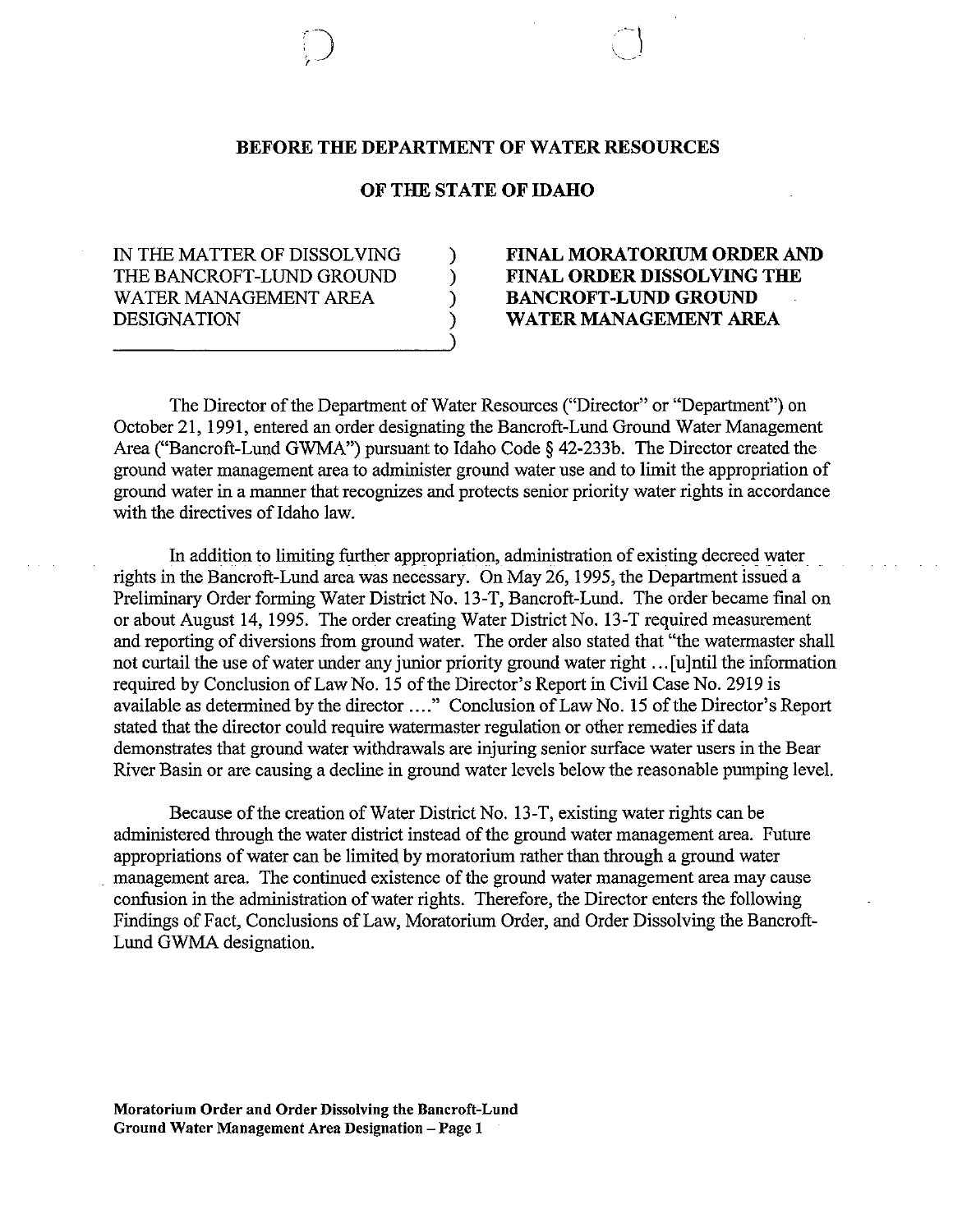## BEFORE THE DEPARTMENT OF WATER RESOURCES

### OF THE STATE OF IDAHO

) ) ) ) )

IN THE MATTER OF DISSOLVING THE BANCROFT-LUND GROUND WATER MANAGEMENT AREA **DESIGNATION** 

)

# FINAL MORATORIUM ORDER AND FINAL ORDER DISSOLVING THE BANCROFT-LUND GROUND WATER MANAGEMENT AREA

The Director of the Department of Water Resources ("Director" or "Department") on October 21,1991, entered an order designating the Bancroft-Lund Ground Water Management Area ("Bancroft-Lund GWMA") pursuant to Idaho Code § 42-233b. The Director created the ground water management area to administer ground water use and to limit the appropriation of ground water in a manner that recognizes and protects senior priority water rights in accordance with the directives of Idaho law.

In addition to limiting further appropriation, administration of existing decreed water. rights in the Bancroft-Lund area was necessary. On May 26,1995, the Department issued a Preliminary Order forming Water District No. 13-T, Bancroft-Lund. The order became final on or about August 14, 1995. The order creating Water District No. 13-T required measurement and reporting of diversions from ground water. The order also stated that "the watermaster shall not curtail the use of water under any junior priority ground water right ... [u]ntil the information required by Conclusion of Law No. 15 of the Director's Report in Civil Case No. 2919 is available as determined by the director .... " Conclusion of Law No. 15 of the Director's Report stated that the director could require watermaster regulation or other remedies if data demonstrates that ground water withdrawals are injuring senior surface water users in the Bear River Basin or are causing a decline in ground water levels below the reasonable pumping level.

Because of the creation of Water District No. 13-T, existing water rights can be administered through the water district instead of the ground water management area. Future appropriations of water can be limited by moratorium rather than through a ground water . management area. The continued existence of the ground water management area may cause confusion in the administration of water rights. Therefore, the Director enters the following Findings of Fact, Conclusions of Law, Moratorium Order, and Order Dissolving the Bancroft-Lund GWMA designation.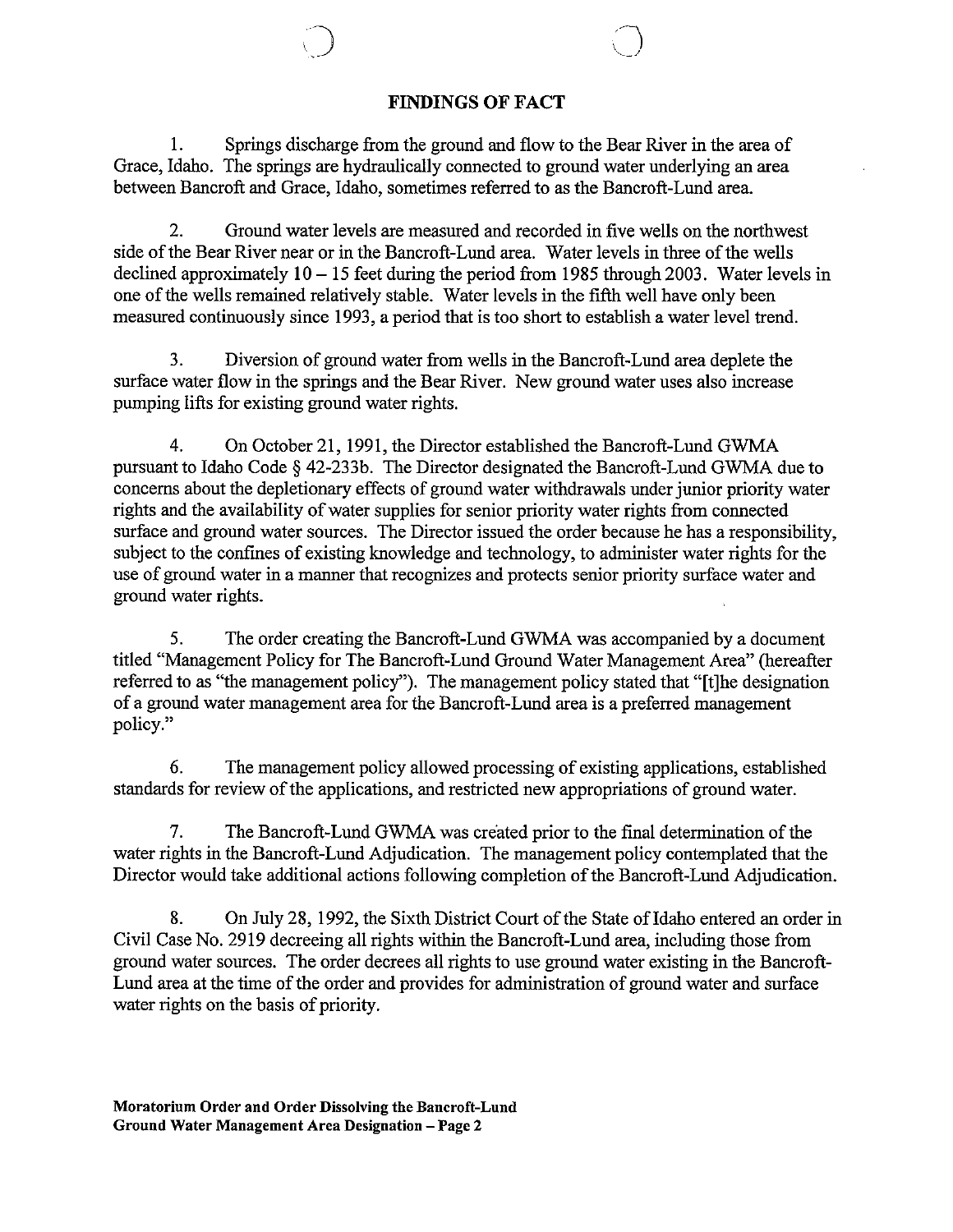# FINDINGS OF FACT

1. Springs discharge from the ground and flow to the Bear River in the area of Grace, Idaho. The springs are hydraulically connected to ground water underlying an area between Bancroft and Grace, Idaho, sometimes referred to as the Bancroft-Lund area.

2. Ground water levels are measured and recorded in five wells on the northwest side ofthe Bear River near or in the Bancroft-Lund area. Water levels in three of the wells declined approximately  $10 - 15$  feet during the period from 1985 through 2003. Water levels in one of the wells remained relatively stable. Water levels in the fifth well have only been measured continuously since 1993, a period that is too short to establish a water level trend.

3. Diversion of ground water from wells in the Bancroft-Lund area deplete the surface water flow in the springs and the Bear River. New ground water uses also increase pumping lifts for existing ground water rights.

4. On October 21,1991, the Director established the Bancroft-Lund GWMA pursuant to Idaho Code § 42-233b. The Director designated the Bancroft-Lund GWMA due to concerns about the depletionary effects of ground water withdrawals under junior priority water rights and the availability of water supplies for senior priority water rights from connected surface and ground water sources. The Director issued the order because he has a responsibility, subject to the confmes of existing knowledge and technology, to administer water rights for the use of ground water in a manner that recognizes and protects senior priority surface water and ground water rights.

5. The order creating the Bancroft-Lund GWMA was accompanied by a document titled "Management Policy for The Bancroft-Lund Ground Water Management Area" (hereafter referred to as "the management policy"). The management policy stated that "[t]he designation of a ground water management area for the Bancroft-Lund area is a preferred management policy."

6. The management policy allowed processing of existing applications, established standards for review of the applications, and restricted new appropriations of ground water.

7. The Bancroft-Lund GWMA was created prior to the final determination of the water rights in the Bancroft-Lund Adjudication. The management policy contemplated that the Director would take additional actions following completion of the Bancroft-Lund Adjudication.

8. On July 28, 1992, the Sixth District Court of the State of Idaho entered an order in Civil Case No. 2919 decreeing all rights within the Bancroft-Lund area, including those from ground water sources. The order decrees all rights to use ground water existing in the Bancroft-Lund area at the time of the order and provides for administration of ground water and surface water rights on the basis of priority.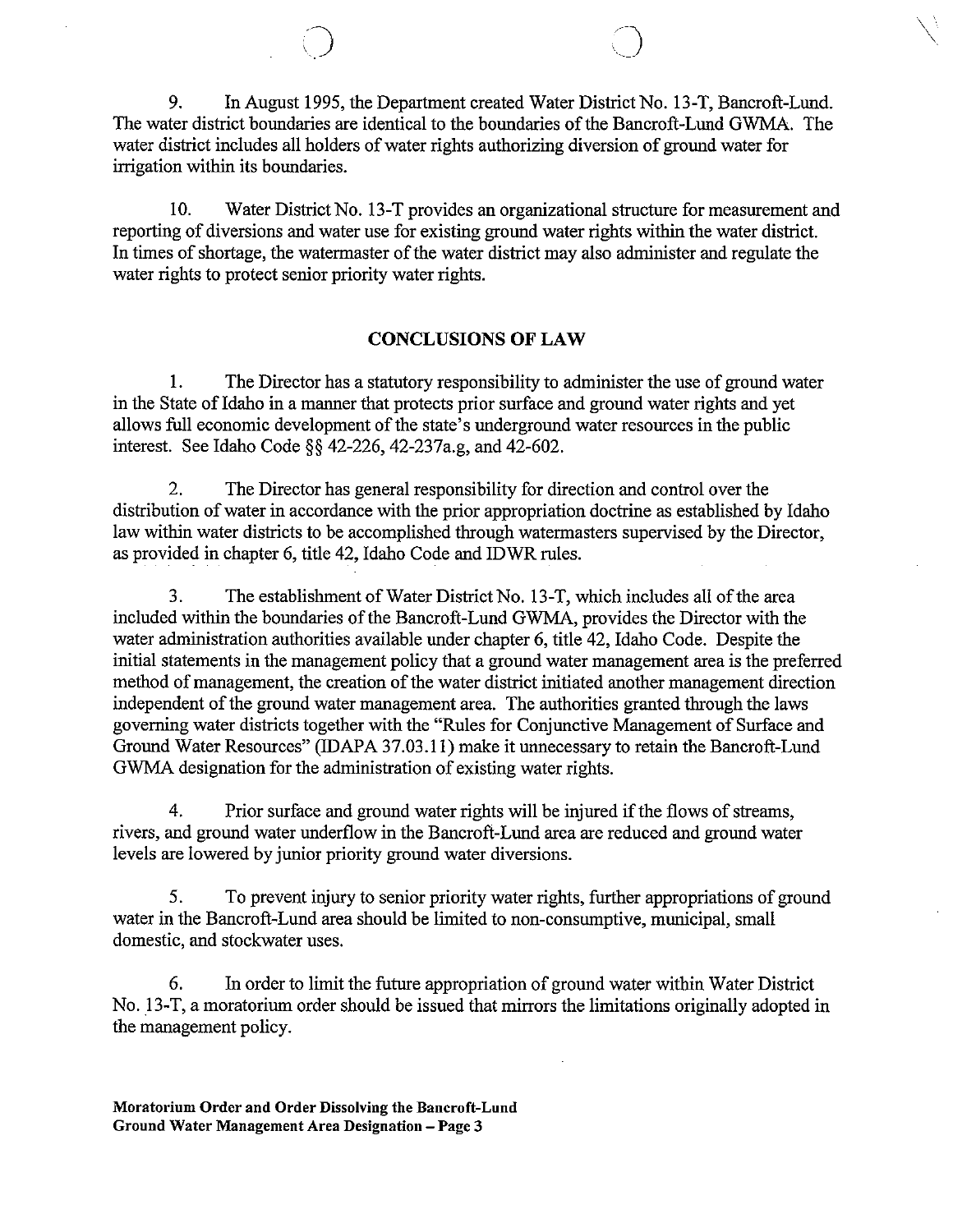9. In August 1995, the Department created Water District No. 13-T, Bancroft-Lund. The water district boundaries are identical to the boundaries of the Bancroft-Lund GWMA. The water district includes all holders of water rights authorizing diversion of ground water for irrigation within its boundaries.

 $\diagdown$ 

 $\bigcirc$ 

10. Water District No. 13-T provides an organizational structure for measurement and reporting of diversions and water use for existing ground water rights within the water district. In times of shortage, the watermaster of the water district may also administer and regulate the water rights to protect senior priority water rights.

### CONCLUSIONS **OF** LAW

1. The Director has a statutory responsibility to administer the use of ground water in the State of Idaho in a manner that protects prior surface and ground water rights and yet allows full economic development of the state's underground water resources in the public interest. See Idaho Code §§ 42-226, 42-237a.g, and 42-602.

2. The Director has general responsibility for direction and control over the distribution of water in accordance with the prior appropriation doctrine as established by Idaho law within water districts to be accomplished through watermasters supervised by the Director, as provided in chapter 6, title 42, Idaho Code and IDWR rules.

3. The establishment of Water District No. 13-T, which includes all of the area included within the boundaries of the Bancroft-Lund GWMA, provides the Director with the water administration authorities available under chapter 6, title 42, Idaho Code. Despite the initial statements in the management policy that a ground water management area is the preferred method of management, the creation of the water district initiated another management direction independent of the ground water management area. The authorities granted through the laws governing water districts together with the "Rules for Conjunctive Management of Surface and Ground Water Resources" (IDAPA 37.03.11) make it unnecessary to retain the Bancroft-Lund GWMA designation for the administration of existing water rights.

4. Prior surface and ground water rights will be injured if the flows of streams, rivers, and ground water underflow in the Bancroft-Lund area are reduced and ground water levels are lowered by junior priority ground water diversions.

5. To prevent injury to senior priority water rights, further appropriations of ground water in the Bancroft-Lund area should be limited to non-consumptive, municipal, small domestic, and stockwater uses.

6. In order to limit the future appropriation of ground water within Water District No. 13-T, a moratorium order should be issued that mirrors the limitations originally adopted in the management policy.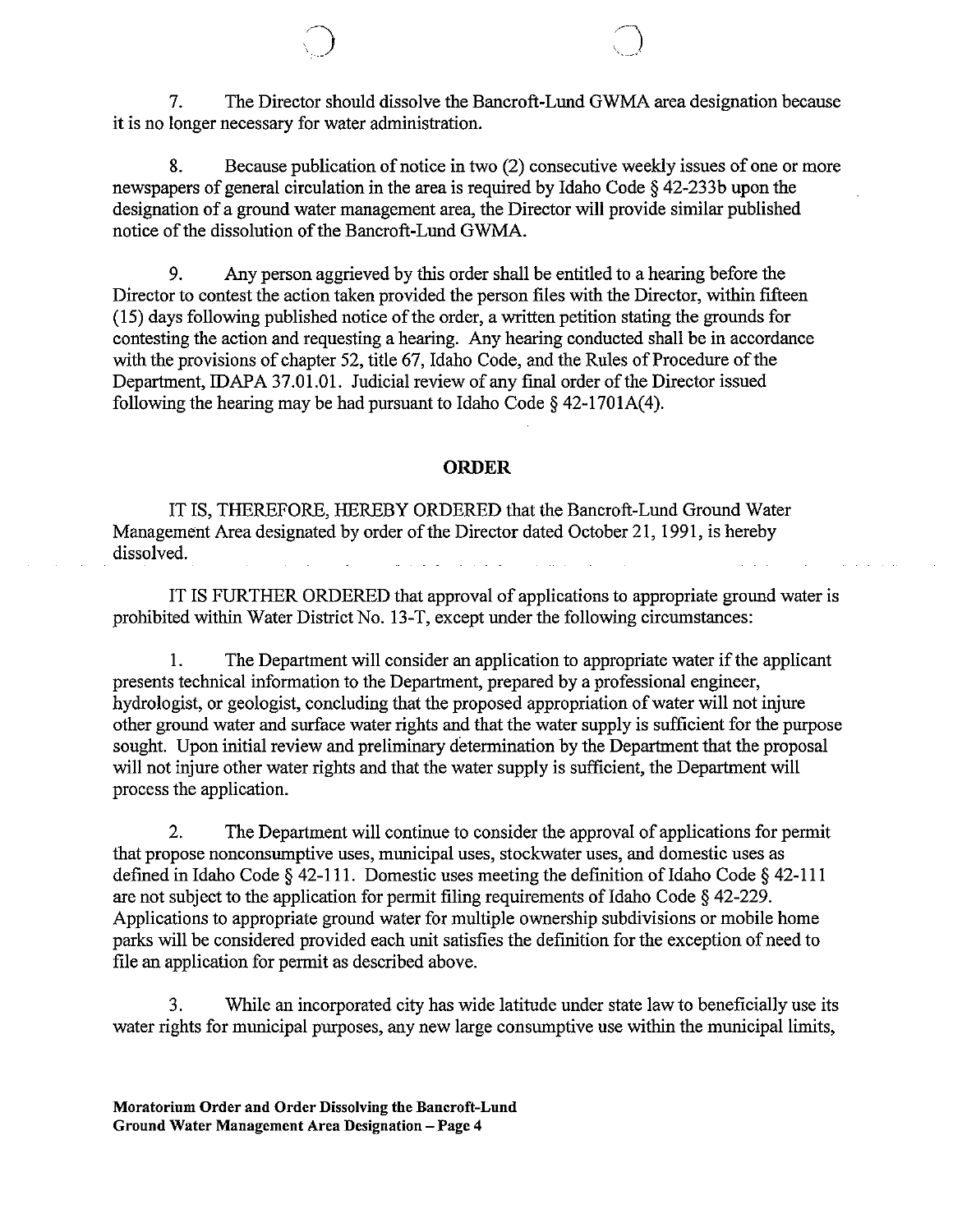7. The Director should dissolve the Bancroft-Lund GWMA area designation because it is no longer necessary for water administration.

8. Because publication of notice in two (2) consecutive weekly issues of one or more newspapers of general circulation in the area is required by Idaho Code § 42-233b upon the designation of a ground water management area, the Director will provide similar published notice of the dissolution of the Bancroft-Lund GWMA.

9. Any person aggrieved by this order shall be entitled to a hearing before the Director to contest the action taken provided the person files with the Director, within fifteen (15) days following published notice of the order, a written petition stating the grounds for contesting the action and requesting a hearing. Any hearing conducted shall be in accordance with the provisions of chapter 52, title 67, Idaho Code, and the Rules of Procedure of the Department, IDAPA 37.01.01. Judicial review of any final order of the Director issued following the hearing may be had pursuant to Idaho Code  $\S$  42-1701A(4).

#### **ORDER**

IT IS, THEREFORE, HEREBY ORDERED that the Bancroft-Lund Ground Water Management Area designated by order of the Director dated October 21, 1991, is hereby dissolved.

IT IS FURTHER ORDERED that approval of applications to appropriate ground water is prohibited within Water District No. 13-T, except under the following circumstances:

1. The Department will consider an application to appropriate water if the applicant presents technical information to the Department, prepared by a professional engineer, hydrologist, or geologist, concluding that the proposed appropriation of water will not injure other ground water and surface water rights and that the water supply is sufficient for the purpose sought. Upon initial review and preliminary determination by the Department that the proposal will not injure other water rights and that the water supply is sufficient, the Department will process the application.

2. The Department will continue to consider the approval of applications for permit that propose nonconsumptive uses, municipal uses, stockwater uses, and domestic uses as defined in Idaho Code  $\S$  42-111. Domestic uses meeting the definition of Idaho Code  $\S$  42-111 are not subject to the application for permit filing requirements of Idaho Code  $\S$  42-229. Applications to appropriate ground water for multiple ownership subdivisions or mobile home parks will be considered provided each unit satisfies the definition for the exception of need to file an application for permit as described above.

3. While an incorporated city has wide latitude under state law to beneficially use its water rights for municipal purposes, any new large consumptive use within the municipal limits,